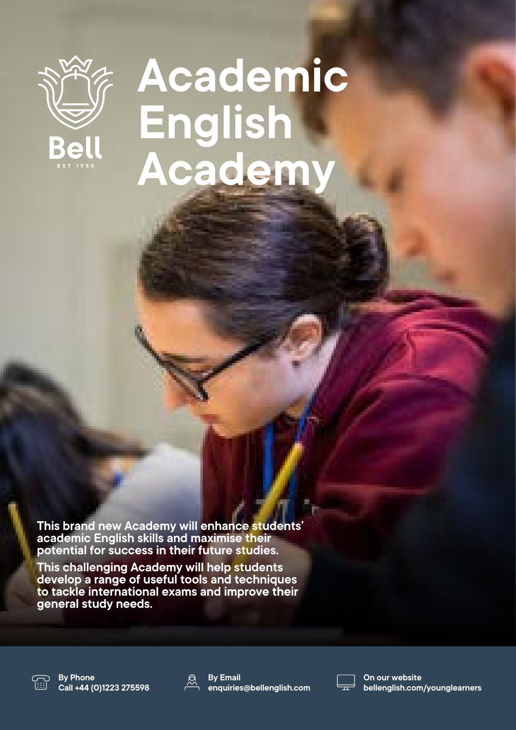

## **Academic English Academy**

**This brand new Academy will enhance students' academic English skills and maximise their potential for success in their future studies.**

**This challenging Academy will help students develop a range of useful tools and techniques to tackle international exams and improve their general study needs.**



**By Phone Call +44 (0)1223 275598**



**By Email enquiries@bellenglish.com**



**On our website bellenglish.com/younglearners**